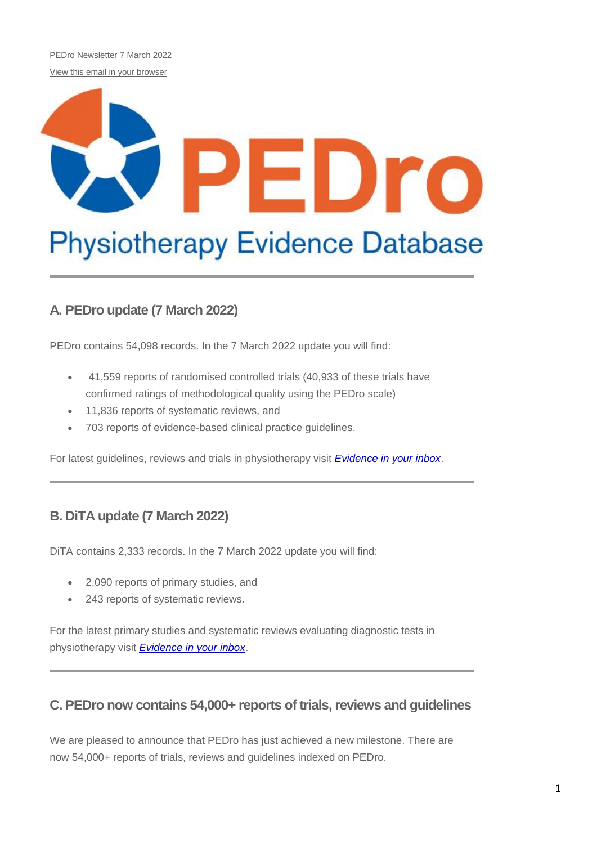PEDro Newsletter 7 March 2022 [View this email in your browser](https://us11.campaign-archive.com/?e=%5bUNIQID%5d&u=73dab3f8d5cca1a3fb365053a&id=07d46cb40c)

# EDro **Physiotherapy Evidence Database**

# **A. PEDro update (7 March 2022)**

PEDro contains 54,098 records. In the 7 March 2022 update you will find:

- 41,559 reports of randomised controlled trials (40,933 of these trials have confirmed ratings of methodological quality using the PEDro scale)
- 11,836 reports of systematic reviews, and
- 703 reports of evidence-based clinical practice guidelines.

For latest guidelines, reviews and trials in physiotherapy visit *[Evidence in your inbox](https://pedro.org.au/english/browse/evidence-in-your-inbox)*.

# **B. DiTA update (7 March 2022)**

DiTA contains 2,333 records. In the 7 March 2022 update you will find:

- 2,090 reports of primary studies, and
- 243 reports of systematic reviews.

For the latest primary studies and systematic reviews evaluating diagnostic tests in physiotherapy visit *[Evidence in your inbox](https://dita.org.au/browse/evidence-in-your-inbox/)*.

## **C. PEDro now contains 54,000+ reports of trials, reviews and guidelines**

We are pleased to announce that PEDro has just achieved a new milestone. There are now 54,000+ reports of trials, reviews and guidelines indexed on PEDro.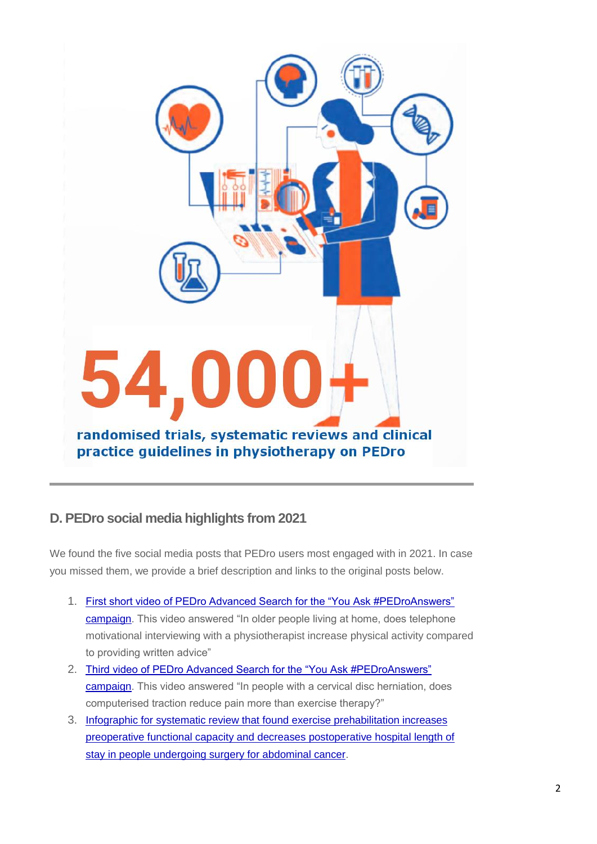

# **D. PEDro social media highlights from 2021**

We found the five social media posts that PEDro users most engaged with in 2021. In case you missed them, we provide a brief description and links to the original posts below.

- 1. [First short video of PEDro Advanced Search for the "You Ask #PEDroAnswers"](https://pedro.org.au/english/first-short-video-of-pedro-advanced-search-for-the-you-ask-pedroanswers-campaign/)  [campaign.](https://pedro.org.au/english/first-short-video-of-pedro-advanced-search-for-the-you-ask-pedroanswers-campaign/) This video answered "In older people living at home, does telephone motivational interviewing with a physiotherapist increase physical activity compared to providing written advice"
- 2. [Third video of PEDro Advanced Search for the "You Ask #PEDroAnswers"](https://pedro.org.au/english/third-video-of-pedro-advanced-search-for-the-you-ask-pedroanswers-campaign/)  [campaign.](https://pedro.org.au/english/third-video-of-pedro-advanced-search-for-the-you-ask-pedroanswers-campaign/) This video answered "In people with a cervical disc herniation, does computerised traction reduce pain more than exercise therapy?"
- 3. [Infographic for systematic review that found exercise prehabilitation increases](https://pedro.org.au/english/infographic-for-systematic-review-that-found-exercise-prehabilitation-increases-preoperative-functional-capacity-and-decreases-postoperative-hospital-length-of-stay-in-people-undergoing-surgery-for-ab/)  [preoperative functional capacity and decreases postoperative hospital length of](https://pedro.org.au/english/infographic-for-systematic-review-that-found-exercise-prehabilitation-increases-preoperative-functional-capacity-and-decreases-postoperative-hospital-length-of-stay-in-people-undergoing-surgery-for-ab/)  [stay in people undergoing surgery for abdominal cancer.](https://pedro.org.au/english/infographic-for-systematic-review-that-found-exercise-prehabilitation-increases-preoperative-functional-capacity-and-decreases-postoperative-hospital-length-of-stay-in-people-undergoing-surgery-for-ab/)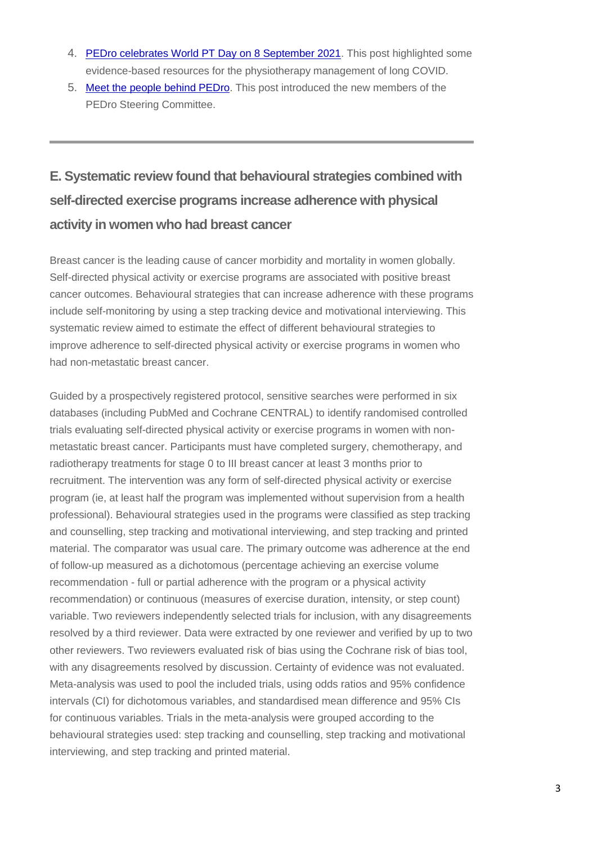- 4. [PEDro celebrates World PT Day on 8 September 2021.](https://pedro.org.au/english/pedro-celebrates-world-pt-day-on-8-september-2021/) This post highlighted some evidence-based resources for the physiotherapy management of long COVID.
- 5. [Meet the people behind PEDro.](https://pedro.org.au/english/meet-the-people-behind-pedro/) This post introduced the new members of the PEDro Steering Committee.

# **E. Systematic review found that behavioural strategies combined with self-directed exercise programs increase adherence with physical activity in women who had breast cancer**

Breast cancer is the leading cause of cancer morbidity and mortality in women globally. Self-directed physical activity or exercise programs are associated with positive breast cancer outcomes. Behavioural strategies that can increase adherence with these programs include self-monitoring by using a step tracking device and motivational interviewing. This systematic review aimed to estimate the effect of different behavioural strategies to improve adherence to self-directed physical activity or exercise programs in women who had non-metastatic breast cancer.

Guided by a prospectively registered protocol, sensitive searches were performed in six databases (including PubMed and Cochrane CENTRAL) to identify randomised controlled trials evaluating self-directed physical activity or exercise programs in women with nonmetastatic breast cancer. Participants must have completed surgery, chemotherapy, and radiotherapy treatments for stage 0 to III breast cancer at least 3 months prior to recruitment. The intervention was any form of self-directed physical activity or exercise program (ie, at least half the program was implemented without supervision from a health professional). Behavioural strategies used in the programs were classified as step tracking and counselling, step tracking and motivational interviewing, and step tracking and printed material. The comparator was usual care. The primary outcome was adherence at the end of follow-up measured as a dichotomous (percentage achieving an exercise volume recommendation - full or partial adherence with the program or a physical activity recommendation) or continuous (measures of exercise duration, intensity, or step count) variable. Two reviewers independently selected trials for inclusion, with any disagreements resolved by a third reviewer. Data were extracted by one reviewer and verified by up to two other reviewers. Two reviewers evaluated risk of bias using the Cochrane risk of bias tool, with any disagreements resolved by discussion. Certainty of evidence was not evaluated. Meta-analysis was used to pool the included trials, using odds ratios and 95% confidence intervals (CI) for dichotomous variables, and standardised mean difference and 95% CIs for continuous variables. Trials in the meta-analysis were grouped according to the behavioural strategies used: step tracking and counselling, step tracking and motivational interviewing, and step tracking and printed material.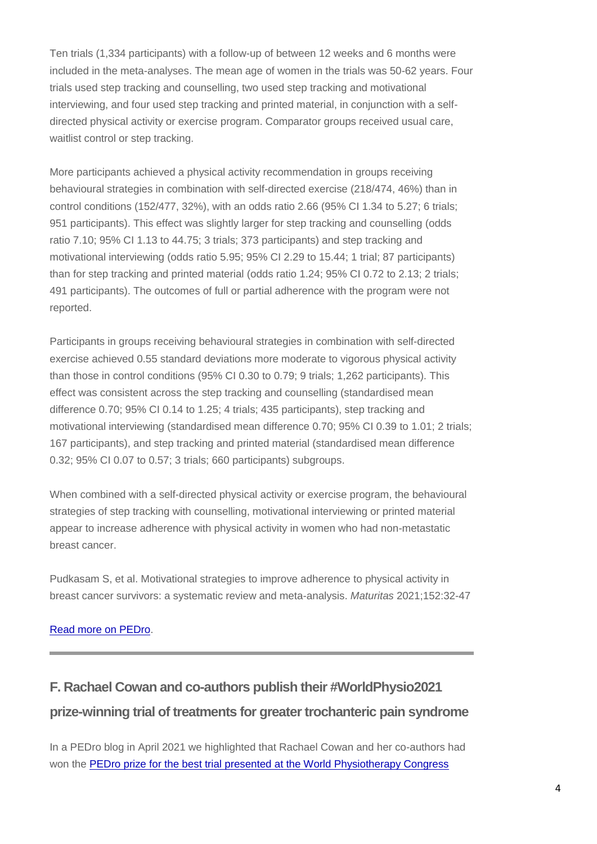Ten trials (1,334 participants) with a follow-up of between 12 weeks and 6 months were included in the meta-analyses. The mean age of women in the trials was 50-62 years. Four trials used step tracking and counselling, two used step tracking and motivational interviewing, and four used step tracking and printed material, in conjunction with a selfdirected physical activity or exercise program. Comparator groups received usual care, waitlist control or step tracking.

More participants achieved a physical activity recommendation in groups receiving behavioural strategies in combination with self-directed exercise (218/474, 46%) than in control conditions (152/477, 32%), with an odds ratio 2.66 (95% CI 1.34 to 5.27; 6 trials; 951 participants). This effect was slightly larger for step tracking and counselling (odds ratio 7.10; 95% CI 1.13 to 44.75; 3 trials; 373 participants) and step tracking and motivational interviewing (odds ratio 5.95; 95% CI 2.29 to 15.44; 1 trial; 87 participants) than for step tracking and printed material (odds ratio 1.24; 95% CI 0.72 to 2.13; 2 trials; 491 participants). The outcomes of full or partial adherence with the program were not reported.

Participants in groups receiving behavioural strategies in combination with self-directed exercise achieved 0.55 standard deviations more moderate to vigorous physical activity than those in control conditions (95% CI 0.30 to 0.79; 9 trials; 1,262 participants). This effect was consistent across the step tracking and counselling (standardised mean difference 0.70; 95% CI 0.14 to 1.25; 4 trials; 435 participants), step tracking and motivational interviewing (standardised mean difference 0.70; 95% CI 0.39 to 1.01; 2 trials; 167 participants), and step tracking and printed material (standardised mean difference 0.32; 95% CI 0.07 to 0.57; 3 trials; 660 participants) subgroups.

When combined with a self-directed physical activity or exercise program, the behavioural strategies of step tracking with counselling, motivational interviewing or printed material appear to increase adherence with physical activity in women who had non-metastatic breast cancer.

Pudkasam S, et al. Motivational strategies to improve adherence to physical activity in breast cancer survivors: a systematic review and meta-analysis. *Maturitas* 2021;152:32-47

#### [Read more on PEDro.](https://search.pedro.org.au/search-results/record-detail/67920)

# **F. Rachael Cowan and co-authors publish their #WorldPhysio2021 prize-winning trial of treatments for greater trochanteric pain syndrome**

In a PEDro blog in April 2021 we highlighted that Rachael Cowan and her co-authors had won the [PEDro prize for the best trial presented at the World Physiotherapy Congress](https://pedro.org.au/english/rachael-cowan-wins-pedro-prize-for-the-best-trial-presented-at-worldphysio2021/)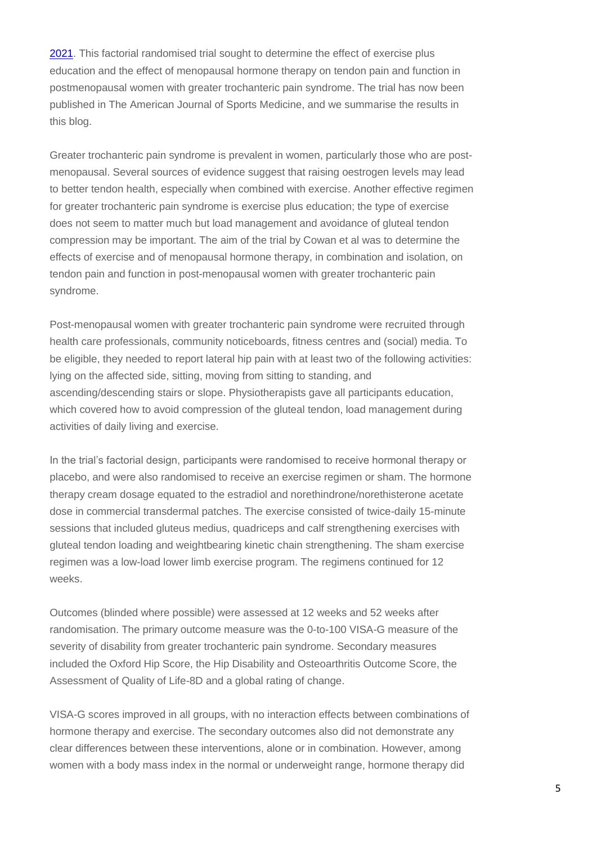[2021.](https://pedro.org.au/english/rachael-cowan-wins-pedro-prize-for-the-best-trial-presented-at-worldphysio2021/) This factorial randomised trial sought to determine the effect of exercise plus education and the effect of menopausal hormone therapy on tendon pain and function in postmenopausal women with greater trochanteric pain syndrome. The trial has now been published in The American Journal of Sports Medicine, and we summarise the results in this blog.

Greater trochanteric pain syndrome is prevalent in women, particularly those who are postmenopausal. Several sources of evidence suggest that raising oestrogen levels may lead to better tendon health, especially when combined with exercise. Another effective regimen for greater trochanteric pain syndrome is exercise plus education; the type of exercise does not seem to matter much but load management and avoidance of gluteal tendon compression may be important. The aim of the trial by Cowan et al was to determine the effects of exercise and of menopausal hormone therapy, in combination and isolation, on tendon pain and function in post-menopausal women with greater trochanteric pain syndrome.

Post-menopausal women with greater trochanteric pain syndrome were recruited through health care professionals, community noticeboards, fitness centres and (social) media. To be eligible, they needed to report lateral hip pain with at least two of the following activities: lying on the affected side, sitting, moving from sitting to standing, and ascending/descending stairs or slope. Physiotherapists gave all participants education, which covered how to avoid compression of the gluteal tendon, load management during activities of daily living and exercise.

In the trial's factorial design, participants were randomised to receive hormonal therapy or placebo, and were also randomised to receive an exercise regimen or sham. The hormone therapy cream dosage equated to the estradiol and norethindrone/norethisterone acetate dose in commercial transdermal patches. The exercise consisted of twice-daily 15-minute sessions that included gluteus medius, quadriceps and calf strengthening exercises with gluteal tendon loading and weightbearing kinetic chain strengthening. The sham exercise regimen was a low-load lower limb exercise program. The regimens continued for 12 weeks.

Outcomes (blinded where possible) were assessed at 12 weeks and 52 weeks after randomisation. The primary outcome measure was the 0-to-100 VISA-G measure of the severity of disability from greater trochanteric pain syndrome. Secondary measures included the Oxford Hip Score, the Hip Disability and Osteoarthritis Outcome Score, the Assessment of Quality of Life-8D and a global rating of change.

VISA-G scores improved in all groups, with no interaction effects between combinations of hormone therapy and exercise. The secondary outcomes also did not demonstrate any clear differences between these interventions, alone or in combination. However, among women with a body mass index in the normal or underweight range, hormone therapy did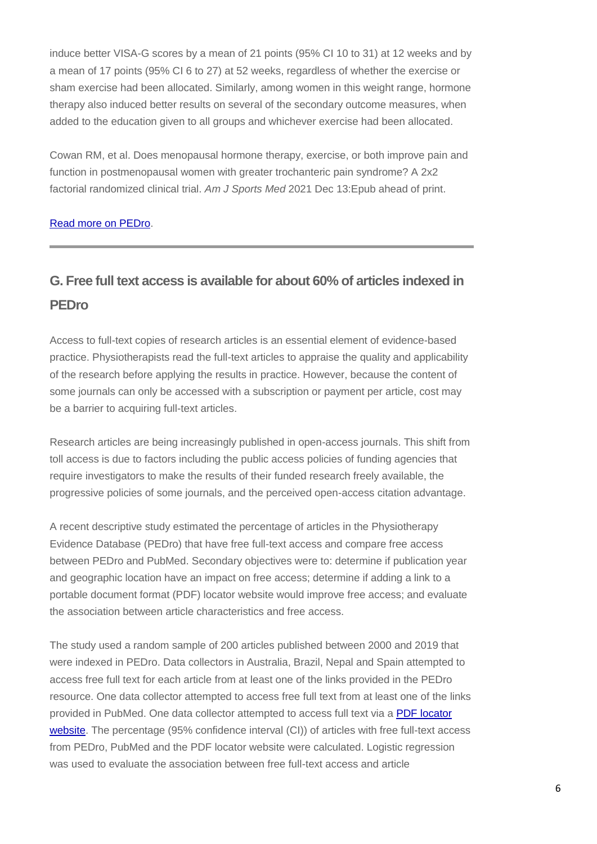induce better VISA-G scores by a mean of 21 points (95% CI 10 to 31) at 12 weeks and by a mean of 17 points (95% CI 6 to 27) at 52 weeks, regardless of whether the exercise or sham exercise had been allocated. Similarly, among women in this weight range, hormone therapy also induced better results on several of the secondary outcome measures, when added to the education given to all groups and whichever exercise had been allocated.

Cowan RM, et al. Does menopausal hormone therapy, exercise, or both improve pain and function in postmenopausal women with greater trochanteric pain syndrome? A 2x2 factorial randomized clinical trial. *Am J Sports Med* 2021 Dec 13:Epub ahead of print.

#### [Read more on PEDro.](https://search.pedro.org.au/search-results/record-detail/67771)

# **G. Free full text access is available for about 60% of articles indexed in PEDro**

Access to full-text copies of research articles is an essential element of evidence-based practice. Physiotherapists read the full-text articles to appraise the quality and applicability of the research before applying the results in practice. However, because the content of some journals can only be accessed with a subscription or payment per article, cost may be a barrier to acquiring full-text articles.

Research articles are being increasingly published in open-access journals. This shift from toll access is due to factors including the public access policies of funding agencies that require investigators to make the results of their funded research freely available, the progressive policies of some journals, and the perceived open-access citation advantage.

A recent descriptive study estimated the percentage of articles in the Physiotherapy Evidence Database (PEDro) that have free full-text access and compare free access between PEDro and PubMed. Secondary objectives were to: determine if publication year and geographic location have an impact on free access; determine if adding a link to a portable document format (PDF) locator website would improve free access; and evaluate the association between article characteristics and free access.

The study used a random sample of 200 articles published between 2000 and 2019 that were indexed in PEDro. Data collectors in Australia, Brazil, Nepal and Spain attempted to access free full text for each article from at least one of the links provided in the PEDro resource. One data collector attempted to access free full text from at least one of the links provided in PubMed. One data collector attempted to access full text via a [PDF locator](http://www.pdfsearchengine.net/)  [website.](http://www.pdfsearchengine.net/) The percentage (95% confidence interval (CI)) of articles with free full-text access from PEDro, PubMed and the PDF locator website were calculated. Logistic regression was used to evaluate the association between free full-text access and article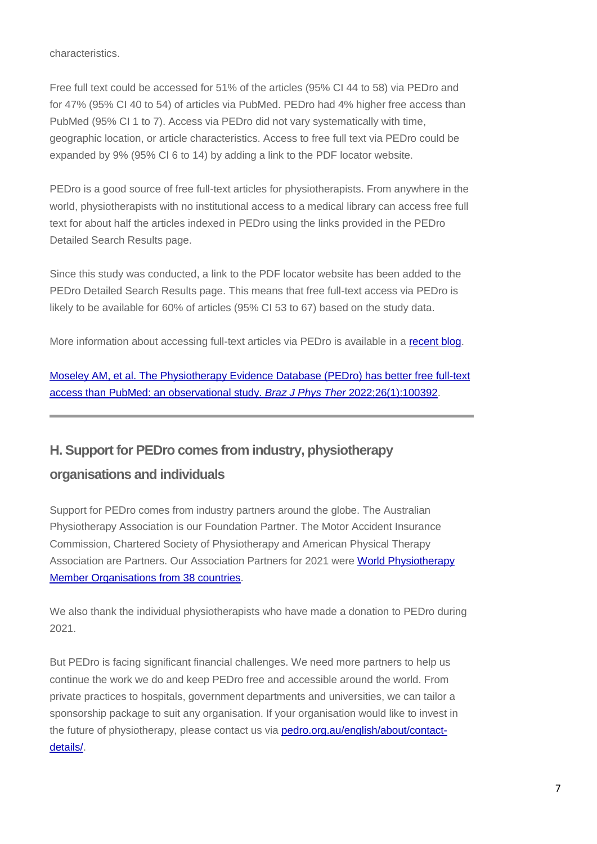characteristics.

Free full text could be accessed for 51% of the articles (95% CI 44 to 58) via PEDro and for 47% (95% CI 40 to 54) of articles via PubMed. PEDro had 4% higher free access than PubMed (95% CI 1 to 7). Access via PEDro did not vary systematically with time, geographic location, or article characteristics. Access to free full text via PEDro could be expanded by 9% (95% CI 6 to 14) by adding a link to the PDF locator website.

PEDro is a good source of free full-text articles for physiotherapists. From anywhere in the world, physiotherapists with no institutional access to a medical library can access free full text for about half the articles indexed in PEDro using the links provided in the PEDro Detailed Search Results page.

Since this study was conducted, a link to the PDF locator website has been added to the PEDro Detailed Search Results page. This means that free full-text access via PEDro is likely to be available for 60% of articles (95% CI 53 to 67) based on the study data.

More information about accessing full-text articles via PEDro is available in a [recent blog.](https://pedro.org.au/english/you-ask-pedroanswers-search-tip-10-access-full-text-using-links-in-pedro/)

[Moseley AM, et al. The Physiotherapy Evidence Database \(PEDro\) has better free full-text](https://dx.doi.org/10.1016/j.bjpt.2022.100392)  [access than PubMed: an observational study.](https://dx.doi.org/10.1016/j.bjpt.2022.100392) *Braz J Phys Ther* 2022;26(1):100392.

### **H. Support for PEDro comes from industry, physiotherapy**

### **organisations and individuals**

Support for PEDro comes from industry partners around the globe. The Australian Physiotherapy Association is our Foundation Partner. The Motor Accident Insurance Commission, Chartered Society of Physiotherapy and American Physical Therapy Association are Partners. Our Association Partners for 2021 were [World Physiotherapy](http://pedro.org.au/english/about/supporters/)  [Member Organisations from 38 countries.](http://pedro.org.au/english/about/supporters/)

We also thank the individual physiotherapists who have made a donation to PEDro during 2021.

But PEDro is facing significant financial challenges. We need more partners to help us continue the work we do and keep PEDro free and accessible around the world. From private practices to hospitals, government departments and universities, we can tailor a sponsorship package to suit any organisation. If your organisation would like to invest in the future of physiotherapy, please contact us via [pedro.org.au/english/about/contact](http://pedro.org.au/english/about/contact-details/)[details/.](http://pedro.org.au/english/about/contact-details/)